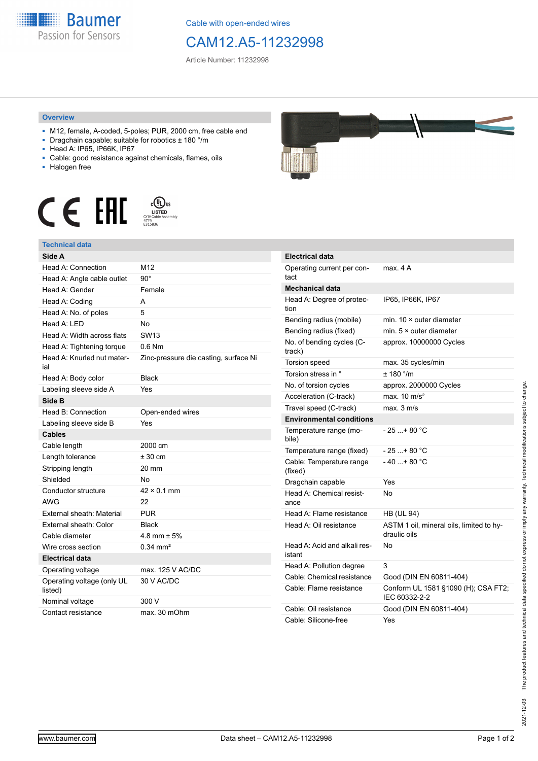

Cable with open-ended wires

## CAM12.A5-11232998

Article Number: 11232998

## **Overview**

- M12, female, A-coded, 5-poles; PUR, 2000 cm, free cable end
- Dragchain capable; suitable for robotics ± 180 °/m
- Head A: IP65, IP66K, IP67
- Cable: good resistance against chemicals, flames, oils
- Halogen free





## **Technical data**

| Side A                                |                                       |
|---------------------------------------|---------------------------------------|
| Head A: Connection                    | M12                                   |
| Head A: Angle cable outlet            | $90^{\circ}$                          |
| Head A: Gender                        | Female                                |
| Head A: Coding                        | А                                     |
| Head A: No. of poles                  | 5                                     |
| Head A: LED                           | No                                    |
| Head A: Width across flats            | <b>SW13</b>                           |
| Head A: Tightening torque             | $0.6$ Nm                              |
| Head A: Knurled nut mater-<br>ial     | Zinc-pressure die casting, surface Ni |
| Head A: Body color                    | <b>Black</b>                          |
| Labeling sleeve side A                | Yes                                   |
| Side B                                |                                       |
| Head B: Connection                    | Open-ended wires                      |
| Labeling sleeve side B                | Yes                                   |
| <b>Cables</b>                         |                                       |
| Cable length                          | 2000 cm                               |
| Length tolerance                      | $± 30$ cm                             |
| Stripping length                      | $20 \text{ mm}$                       |
| Shielded                              | No                                    |
| Conductor structure                   | $42 \times 0.1$ mm                    |
| <b>AWG</b>                            | 22                                    |
| External sheath: Material             | <b>PUR</b>                            |
| External sheath: Color                | <b>Black</b>                          |
| Cable diameter                        | 4.8 mm $\pm$ 5%                       |
| Wire cross section                    | $0.34 \, \text{mm}^2$                 |
| <b>Electrical data</b>                |                                       |
| Operating voltage                     | max. 125 V AC/DC                      |
| Operating voltage (only UL<br>listed) | 30 V AC/DC                            |
| Nominal voltage                       | 300 V                                 |
| Contact resistance                    | max. 30 mOhm                          |



| <b>Electrical data</b>                 |                                                          |
|----------------------------------------|----------------------------------------------------------|
| Operating current per con-<br>tact     | max. 4 A                                                 |
| Mechanical data                        |                                                          |
| Head A: Degree of protec-<br>tion      | IP65, IP66K, IP67                                        |
| Bending radius (mobile)                | min. $10 \times$ outer diameter                          |
| Bending radius (fixed)                 | min. $5 \times$ outer diameter                           |
| No. of bending cycles (C-<br>track)    | approx. 10000000 Cycles                                  |
| Torsion speed                          | max. 35 cycles/min                                       |
| Torsion stress in °                    | ± 180 °/m                                                |
| No. of torsion cycles                  | approx. 2000000 Cycles                                   |
| Acceleration (C-track)                 | max. $10 \text{ m/s}^2$                                  |
| Travel speed (C-track)                 | max. 3 m/s                                               |
| <b>Environmental conditions</b>        |                                                          |
| Temperature range (mo-<br>bile)        | - 25 + 80 °C                                             |
| Temperature range (fixed)              | $-25$ + 80 °C                                            |
| Cable: Temperature range<br>(fixed)    | - 40 + 80 °C                                             |
| Dragchain capable                      | Yes                                                      |
| Head A: Chemical resist-<br>ance       | N٥                                                       |
| Head A: Flame resistance               | <b>HB (UL 94)</b>                                        |
| Head A: Oil resistance                 | ASTM 1 oil, mineral oils, limited to hy-<br>draulic oils |
| Head A: Acid and alkali res-<br>istant | No                                                       |
| Head A: Pollution degree               | 3                                                        |
| Cable: Chemical resistance             | Good (DIN EN 60811-404)                                  |
| Cable: Flame resistance                | Conform UL 1581 §1090 (H); CSA FT2;<br>IEC 60332-2-2     |
| Cable: Oil resistance                  | Good (DIN EN 60811-404)                                  |
| Cable: Silicone-free                   | Yes                                                      |